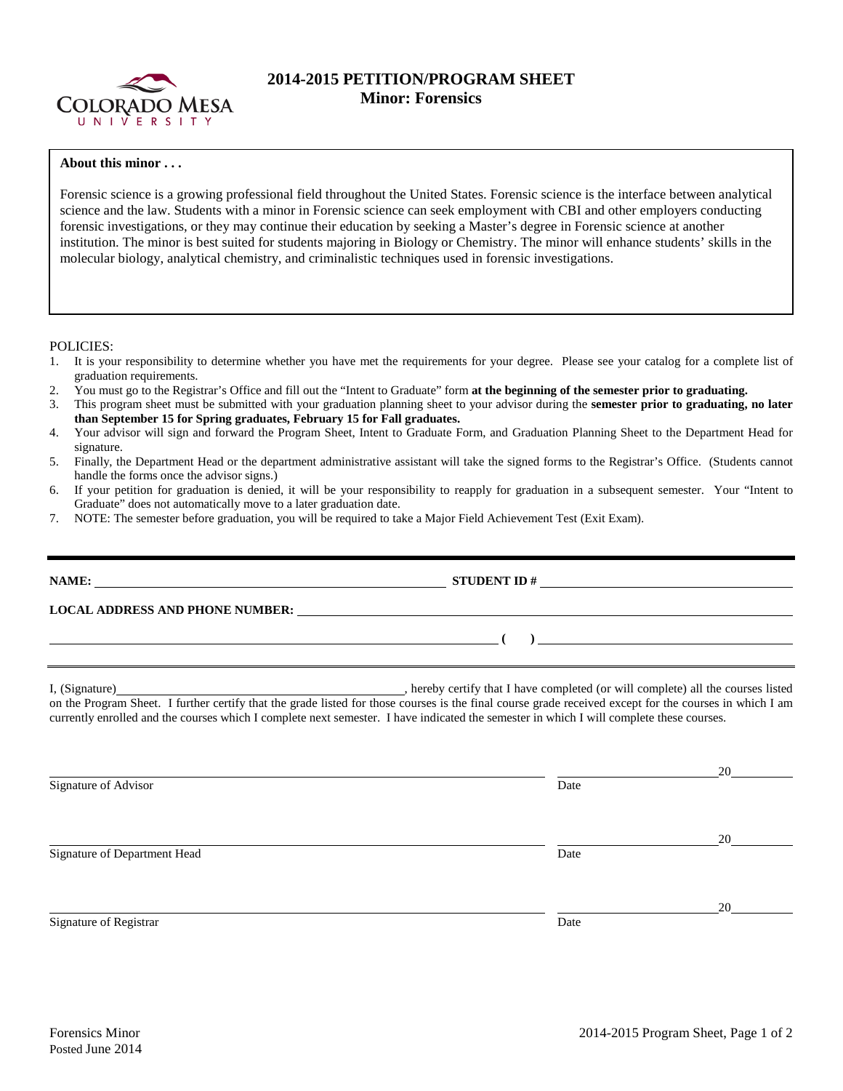

## **2014-2015 PETITION/PROGRAM SHEET Minor: Forensics**

## **About this minor . . .**

Forensic science is a growing professional field throughout the United States. Forensic science is the interface between analytical science and the law. Students with a minor in Forensic science can seek employment with CBI and other employers conducting forensic investigations, or they may continue their education by seeking a Master's degree in Forensic science at another institution. The minor is best suited for students majoring in Biology or Chemistry. The minor will enhance students' skills in the molecular biology, analytical chemistry, and criminalistic techniques used in forensic investigations.

POLICIES:

- 1. It is your responsibility to determine whether you have met the requirements for your degree. Please see your catalog for a complete list of graduation requirements.
- 2. You must go to the Registrar's Office and fill out the "Intent to Graduate" form **at the beginning of the semester prior to graduating.**
- 3. This program sheet must be submitted with your graduation planning sheet to your advisor during the **semester prior to graduating, no later than September 15 for Spring graduates, February 15 for Fall graduates.**
- 4. Your advisor will sign and forward the Program Sheet, Intent to Graduate Form, and Graduation Planning Sheet to the Department Head for signature.
- 5. Finally, the Department Head or the department administrative assistant will take the signed forms to the Registrar's Office. (Students cannot handle the forms once the advisor signs.)
- 6. If your petition for graduation is denied, it will be your responsibility to reapply for graduation in a subsequent semester. Your "Intent to Graduate" does not automatically move to a later graduation date.
- 7. NOTE: The semester before graduation, you will be required to take a Major Field Achievement Test (Exit Exam).

| NAME: | STUDENT ID $\#$                                                                                                                                                                                                                                                                                                                                                                                      |
|-------|------------------------------------------------------------------------------------------------------------------------------------------------------------------------------------------------------------------------------------------------------------------------------------------------------------------------------------------------------------------------------------------------------|
|       | <b>LOCAL ADDRESS AND PHONE NUMBER:</b>                                                                                                                                                                                                                                                                                                                                                               |
|       | $\overline{a}$                                                                                                                                                                                                                                                                                                                                                                                       |
|       | I, (Signature) hereby certify that I have completed (or will complete) all the courses listed<br>on the Program Sheet. I further certify that the grade listed for those courses is the final course grade received except for the courses in which I am<br>currently enrolled and the courses which I complete next semester. I have indicated the semester in which I will complete these courses. |

|                              |      | 20 |
|------------------------------|------|----|
| Signature of Advisor         | Date |    |
|                              |      |    |
|                              |      | 20 |
| Signature of Department Head | Date |    |
|                              |      |    |
|                              |      | 20 |
| Signature of Registrar       | Date |    |
|                              |      |    |